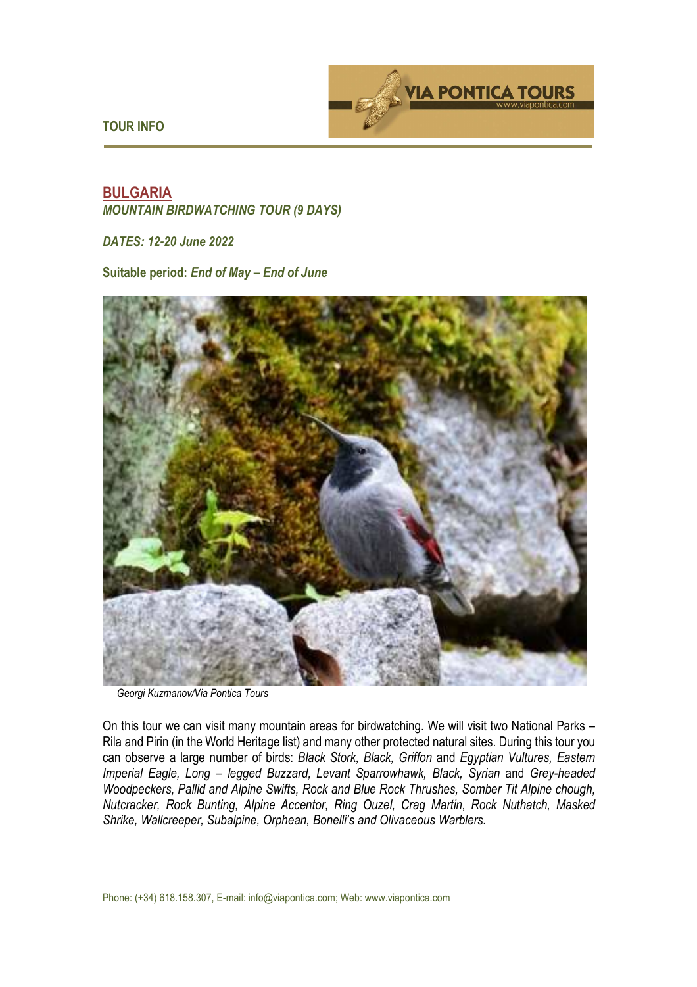**TOUR INFO** 



# **BULGARIA**  *MOUNTAIN BIRDWATCHING TOUR (9 DAYS)*

*DATES: 12-20 June 2022* 

**Suitable period:** *End of May – End of June* 



*Georgi Kuzmanov/Via Pontica Tours*

On this tour we can visit many mountain areas for birdwatching. We will visit two National Parks – Rila and Pirin (in the World Heritage list) and many other protected natural sites. During this tour you can observe a large number of birds: *Black Stork, Black, Griffon* and *Egyptian Vultures, Eastern Imperial Eagle, Long – legged Buzzard, Levant Sparrowhawk, Black, Syrian and Grey-headed Woodpeckers, Pallid and Alpine Swifts, Rock and Blue Rock Thrushes, Somber Tit Alpine chough, Nutcracker, Rock Bunting, Alpine Accentor, Ring Ouzel, Crag Martin, Rock Nuthatch, Masked Shrike, Wallcreeper, Subalpine, Orphean, Bonelli's and Olivaceous Warblers.*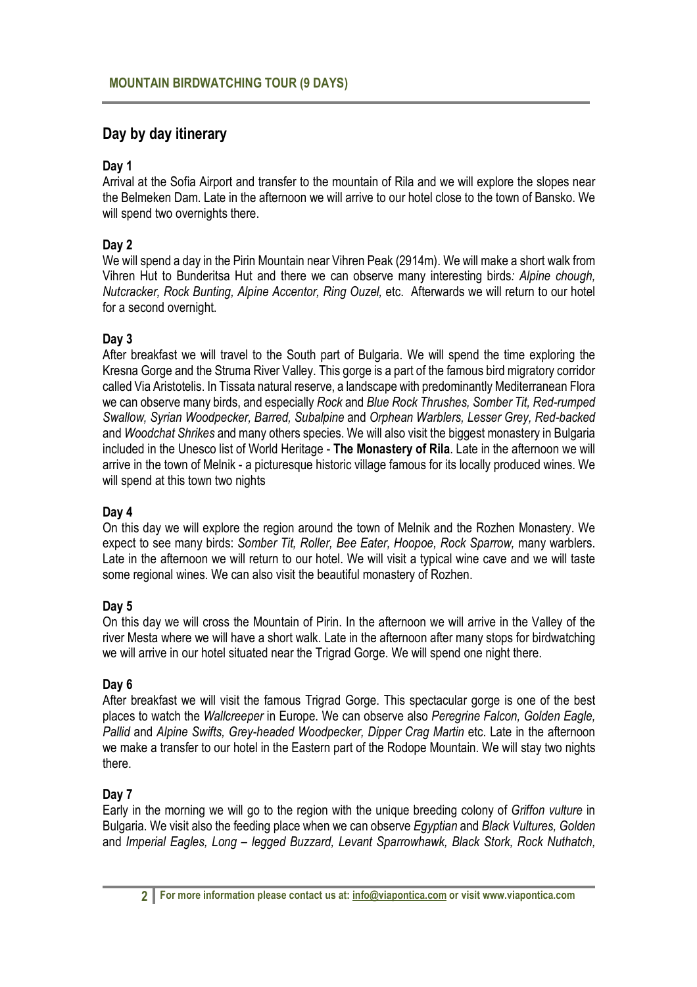# **Day by day itinerary**

## **Day 1**

Arrival at the Sofia Airport and transfer to the mountain of Rila and we will explore the slopes near the Belmeken Dam. Late in the afternoon we will arrive to our hotel close to the town of Bansko. We will spend two overnights there.

## **Day 2**

We will spend a day in the Pirin Mountain near Vihren Peak (2914m). We will make a short walk from Vihren Hut to Bunderitsa Hut and there we can observe many interesting birds*: Alpine chough, Nutcracker, Rock Bunting, Alpine Accentor, Ring Ouzel,* etc. Afterwards we will return to our hotel for a second overnight.

#### **Day 3**

After breakfast we will travel to the South part of Bulgaria. We will spend the time exploring the Kresna Gorge and the Struma River Valley. This gorge is a part of the famous bird migratory corridor called Via Aristotelis. In Tissata natural reserve, a landscape with predominantly Mediterranean Flora we can observe many birds, and especially *Rock* and *Blue Rock Thrushes, Somber Tit, Red-rumped Swallow, Syrian Woodpecker, Barred, Subalpine* and *Orphean Warblers, Lesser Grey, Red-backed*  and *Woodchat Shrikes* and many others species. We will also visit the biggest monastery in Bulgaria included in the Unesco list of World Heritage - **The Monastery of Rila**. Late in the afternoon we will arrive in the town of Melnik - a picturesque historic village famous for its locally produced wines. We will spend at this town two nights

#### **Day 4**

On this day we will explore the region around the town of Melnik and the Rozhen Monastery. We expect to see many birds: *Somber Tit, Roller, Bee Eater, Hoopoe, Rock Sparrow,* many warblers. Late in the afternoon we will return to our hotel. We will visit a typical wine cave and we will taste some regional wines. We can also visit the beautiful monastery of Rozhen.

#### **Day 5**

On this day we will cross the Mountain of Pirin. In the afternoon we will arrive in the Valley of the river Mesta where we will have a short walk. Late in the afternoon after many stops for birdwatching we will arrive in our hotel situated near the Trigrad Gorge. We will spend one night there.

#### **Day 6**

After breakfast we will visit the famous Trigrad Gorge. This spectacular gorge is one of the best places to watch the *Wallcreeper* in Europe. We can observe also *Peregrine Falcon, Golden Eagle, Pallid* and *Alpine Swifts, Grey-headed Woodpecker, Dipper Crag Martin* etc. Late in the afternoon we make a transfer to our hotel in the Eastern part of the Rodope Mountain. We will stay two nights there.

#### **Day 7**

Early in the morning we will go to the region with the unique breeding colony of *Griffon vulture* in Bulgaria. We visit also the feeding place when we can observe *Egyptian* and *Black Vultures, Golden*  and *Imperial Eagles, Long – legged Buzzard, Levant Sparrowhawk, Black Stork, Rock Nuthatch,*